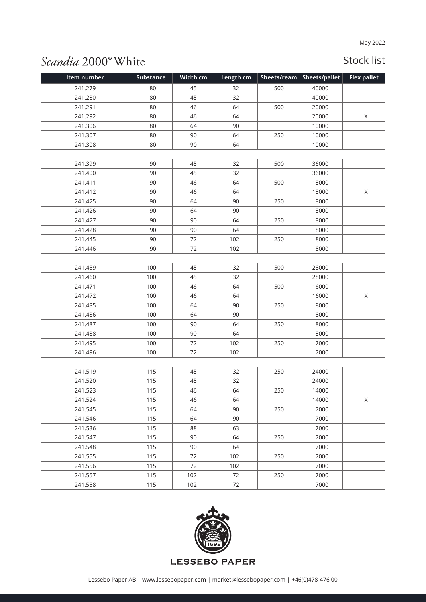## Scandia 2000° White

| Item number | <b>Substance</b> | Width cm | Length cm | Sheets/ream | Sheets/pallet | <b>Flex pallet</b> |
|-------------|------------------|----------|-----------|-------------|---------------|--------------------|
| 241.279     | 80               | 45       | 32        | 500         | 40000         |                    |
| 241.280     | 80               | 45       | 32        |             | 40000         |                    |
| 241.291     | 80               | 46       | 64        | 500         | 20000         |                    |
| 241.292     | 80               | 46       | 64        |             | 20000         | $\mathsf X$        |
| 241.306     | 80               | 64       | 90        |             | 10000         |                    |
| 241.307     | 80               | 90       | 64        | 250         | 10000         |                    |
| 241.308     | 80               | 90       | 64        |             | 10000         |                    |
|             |                  |          |           |             |               |                    |
| 241.399     | 90               | 45       | 32        | 500         | 36000         |                    |
| 241.400     | 90               | 45       | 32        |             | 36000         |                    |
| 241.411     | 90               | 46       | 64        | 500         | 18000         |                    |
| 241.412     | 90               | 46       | 64        |             | 18000         | X                  |
| 241.425     | 90               | 64       | 90        | 250         | 8000          |                    |
| 241.426     | 90               | 64       | 90        |             | 8000          |                    |
| 241.427     | 90               | 90       | 64        | 250         | 8000          |                    |
| 241.428     | 90               | 90       | 64        |             | 8000          |                    |
| 241.445     | 90               | 72       | 102       | 250         | 8000          |                    |
| 241.446     | 90               | 72       | 102       |             | 8000          |                    |
|             |                  |          |           |             |               |                    |
| 241.459     | 100              | 45       | 32        | 500         | 28000         |                    |
| 241.460     | 100              | 45       | 32        |             | 28000         |                    |
| 241.471     | 100              | 46       | 64        | 500         | 16000         |                    |
| 241.472     | 100              | 46       | 64        |             | 16000         | $\mathsf X$        |
| 241.485     | 100              | 64       | 90        | 250         | 8000          |                    |
| 241.486     | 100              | 64       | 90        |             | 8000          |                    |
| 241.487     | 100              | 90       | 64        | 250         | 8000          |                    |
| 241.488     | 100              | 90       | 64        |             | 8000          |                    |
| 241.495     | 100              | 72       | 102       | 250         | 7000          |                    |
| 241.496     | 100              | 72       | 102       |             | 7000          |                    |
|             |                  |          |           |             |               |                    |
| 241.519     | 115              | 45       | 32        | 250         | 24000         |                    |
| 241.520     | 115              | 45       | 32        |             | 24000         |                    |
| 241.523     | 115              | 46       | 64        | 250         | 14000         |                    |
| 241.524     | 115              | 46       | 64        |             | 14000         | Χ                  |
| 241.545     | 115              | 64       | 90        | 250         | 7000          |                    |
| 241.546     | 115              | 64       | 90        |             | 7000          |                    |
| 241.536     | 115              | 88       | 63        |             | 7000          |                    |
| 241.547     | 115              | 90       | 64        | 250         | 7000          |                    |
| 241.548     | 115              | 90       | 64        |             | 7000          |                    |
| 241.555     | 115              | 72       | 102       | 250         | 7000          |                    |
| 241.556     | 115              | 72       | 102       |             | 7000          |                    |
| 241.557     | 115              | 102      | 72        | 250         | 7000          |                    |
| 241.558     | 115              | 102      | 72        |             | 7000          |                    |

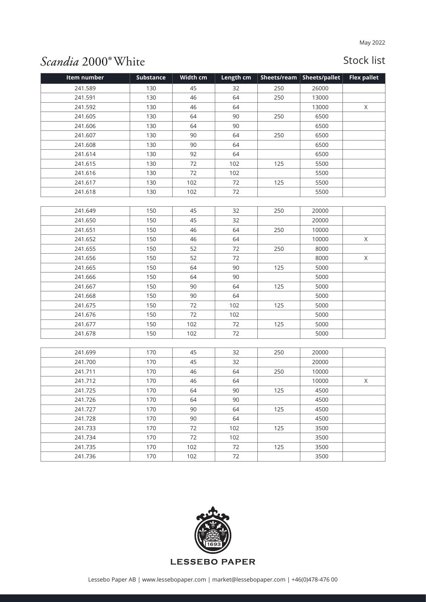## Scandia 2000° White

| Item number | <b>Substance</b> | Width cm | Length cm | Sheets/ream | <b>Sheets/pallet</b> | <b>Flex pallet</b> |
|-------------|------------------|----------|-----------|-------------|----------------------|--------------------|
| 241.589     | 130              | 45       | 32        | 250         | 26000                |                    |
| 241.591     | 130              | 46       | 64        | 250         | 13000                |                    |
| 241.592     | 130              | 46       | 64        |             | 13000                | X                  |
| 241.605     | 130              | 64       | 90        | 250         | 6500                 |                    |
| 241.606     | 130              | 64       | 90        |             | 6500                 |                    |
| 241.607     | 130              | 90       | 64        | 250         | 6500                 |                    |
| 241.608     | 130              | 90       | 64        |             | 6500                 |                    |
| 241.614     | 130              | 92       | 64        |             | 6500                 |                    |
| 241.615     | 130              | 72       | 102       | 125         | 5500                 |                    |
| 241.616     | 130              | 72       | 102       |             | 5500                 |                    |
| 241.617     | 130              | 102      | 72        | 125         | 5500                 |                    |
| 241.618     | 130              | 102      | 72        |             | 5500                 |                    |
|             |                  |          |           |             |                      |                    |
| 241.649     | 150              | 45       | 32        | 250         | 20000                |                    |
| 241.650     | 150              | 45       | 32        |             | 20000                |                    |
| 241.651     | 150              | 46       | 64        | 250         | 10000                |                    |
| 241.652     | 150              | 46       | 64        |             | 10000                | $\mathsf X$        |
| 241.655     | 150              | 52       | 72        | 250         | 8000                 |                    |
| 241.656     | 150              | 52       | 72        |             | 8000                 | X                  |
| 241.665     | 150              | 64       | 90        | 125         | 5000                 |                    |
| 241.666     | 150              | 64       | 90        |             | 5000                 |                    |
| 241.667     | 150              | 90       | 64        | 125         | 5000                 |                    |
| 241.668     | 150              | 90       | 64        |             | 5000                 |                    |
| 241.675     | 150              | 72       | 102       | 125         | 5000                 |                    |
| 241.676     | 150              | 72       | 102       |             | 5000                 |                    |
| 241.677     | 150              | 102      | 72        | 125         | 5000                 |                    |
| 241.678     | 150              | 102      | 72        |             | 5000                 |                    |
|             |                  |          |           |             |                      |                    |
| 241.699     | 170              | 45       | 32        | 250         | 20000                |                    |
| 241.700     | 170              | 45       | 32        |             | 20000                |                    |
| 241.711     | 170              | 46       | 64        | 250         | 10000                |                    |
| 241.712     | 170              | 46       | 64        |             | 10000                | $\mathsf X$        |
| 241.725     | 170              | 64       | 90        | 125         | 4500                 |                    |
| 241.726     | 170              | 64       | 90        |             | 4500                 |                    |
| 241.727     | 170              | 90       | 64        | 125         | 4500                 |                    |
| 241.728     | 170              | 90       | 64        |             | 4500                 |                    |
| 241.733     | 170              | 72       | 102       | 125         | 3500                 |                    |
| 241.734     | 170              | 72       | 102       |             | 3500                 |                    |
| 241.735     | 170              | 102      | 72        | 125         | 3500                 |                    |
| 241.736     | 170              | 102      | 72        |             | 3500                 |                    |

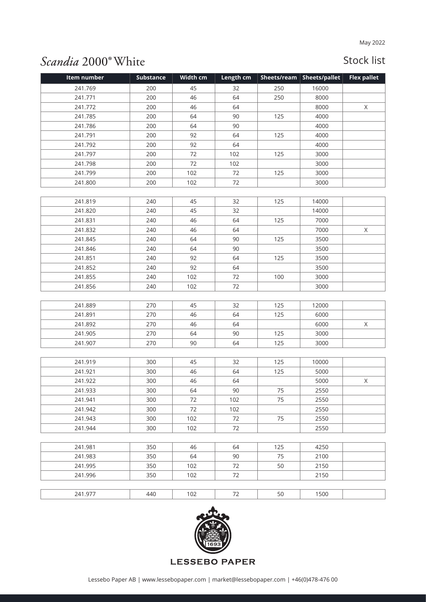## Scandia 2000° White

| Item number | <b>Substance</b> | Width cm | Length cm | Sheets/ream | <b>Sheets/pallet</b> | <b>Flex pallet</b> |
|-------------|------------------|----------|-----------|-------------|----------------------|--------------------|
| 241.769     | 200              | 45       | 32        | 250         | 16000                |                    |
| 241.771     | 200              | 46       | 64        | 250         | 8000                 |                    |
| 241.772     | 200              | 46       | 64        |             | 8000                 | X                  |
| 241.785     | 200              | 64       | 90        | 125         | 4000                 |                    |
| 241.786     | 200              | 64       | 90        |             | 4000                 |                    |
| 241.791     | 200              | 92       | 64        | 125         | 4000                 |                    |
| 241.792     | 200              | 92       | 64        |             | 4000                 |                    |
| 241.797     | 200              | 72       | 102       | 125         | 3000                 |                    |
| 241.798     | 200              | 72       | 102       |             | 3000                 |                    |
| 241.799     | 200              | 102      | 72        | 125         | 3000                 |                    |
| 241.800     | 200              | 102      | 72        |             | 3000                 |                    |
|             |                  |          |           |             |                      |                    |
| 241.819     | 240              | 45       | 32        | 125         | 14000                |                    |
| 241.820     | 240              | 45       | 32        |             | 14000                |                    |
| 241.831     | 240              | 46       | 64        | 125         | 7000                 |                    |
| 241.832     | 240              | 46       | 64        |             | 7000                 | $\mathsf X$        |
| 241.845     | 240              | 64       | 90        | 125         | 3500                 |                    |
| 241.846     | 240              | 64       | 90        |             | 3500                 |                    |
| 241.851     | 240              | 92       | 64        | 125         | 3500                 |                    |
| 241.852     | 240              | 92       | 64        |             | 3500                 |                    |
| 241.855     | 240              | 102      | 72        | 100         | 3000                 |                    |
| 241.856     | 240              | 102      | 72        |             | 3000                 |                    |
|             |                  |          |           |             |                      |                    |
| 241.889     | 270              | 45       | 32        | 125         | 12000                |                    |
| 241.891     | 270              | 46       | 64        | 125         | 6000                 |                    |
| 241.892     | 270              | 46       | 64        |             | 6000                 | $\mathsf X$        |
| 241.905     | 270              | 64       | 90        | 125         | 3000                 |                    |
| 241.907     | 270              | 90       | 64        | 125         | 3000                 |                    |
|             |                  |          |           |             |                      |                    |
| 241.919     | 300              | 45       | 32        | 125         | 10000                |                    |
| 241.921     | 300              | 46       | 64        | 125         | 5000                 |                    |
| 241.922     | 300              | 46       | 64        |             | 5000                 | $\mathsf X$        |
| 241.933     | 300              | 64       | 90        | 75          | 2550                 |                    |
| 241.941     | 300              | 72       | 102       | 75          | 2550                 |                    |
| 241.942     | 300              | 72       | 102       |             | 2550                 |                    |
| 241.943     | 300              | 102      | 72        | 75          | 2550                 |                    |
| 241.944     | 300              | 102      | 72        |             | 2550                 |                    |
|             |                  |          |           |             |                      |                    |
| 241.981     | 350              | 46       | 64        | 125         | 4250                 |                    |
| 241.983     | 350              | 64       | 90        | 75          | 2100                 |                    |
| 241.995     | 350              | 102      | 72        | 50          | 2150                 |                    |
| 241.996     | 350              | 102      | 72        |             | 2150                 |                    |
|             |                  |          |           |             |                      |                    |
| 241.977     | 440              | 102      | 72        | 50          | 1500                 |                    |

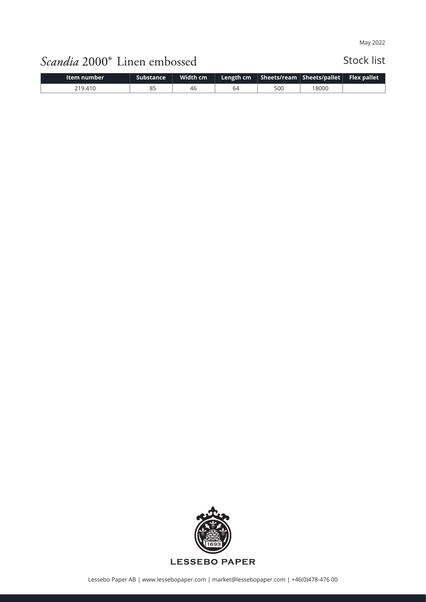# Scandia 2000° Linen embossed

| Item number | <b>Substance</b> | Width cm | Length cm |     | Sheets/ream Sheets/pallet | <b>Flex pallet</b> |
|-------------|------------------|----------|-----------|-----|---------------------------|--------------------|
| 219.410     | 85               | 46       | 64        | 500 | 18000                     |                    |

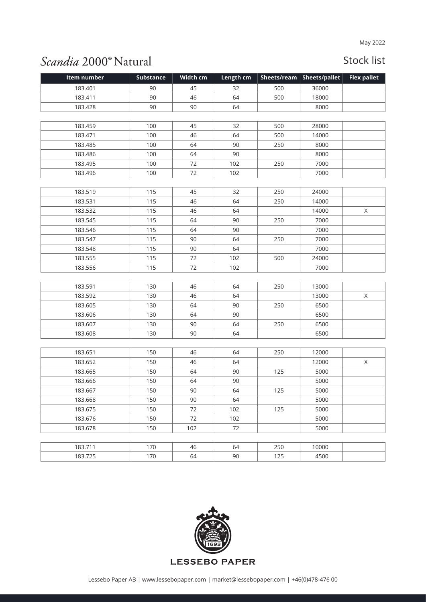## Scandia 2000<sup>®</sup>Natural

| Item number | <b>Substance</b> | Width cm | Length cm | Sheets/ream | Sheets/pallet | <b>Flex pallet</b> |
|-------------|------------------|----------|-----------|-------------|---------------|--------------------|
| 183.401     | 90               | 45       | 32        | 500         | 36000         |                    |
| 183.411     | 90               | 46       | 64        | 500         | 18000         |                    |
| 183.428     | 90               | 90       | 64        |             | 8000          |                    |
|             |                  |          |           |             |               |                    |
| 183.459     | 100              | 45       | 32        | 500         | 28000         |                    |
| 183.471     | 100              | 46       | 64        | 500         | 14000         |                    |
| 183.485     | 100              | 64       | 90        | 250         | 8000          |                    |
| 183.486     | 100              | 64       | 90        |             | 8000          |                    |
| 183.495     | 100              | 72       | 102       | 250         | 7000          |                    |
| 183.496     | 100              | 72       | 102       |             | 7000          |                    |
|             |                  |          |           |             |               |                    |
| 183.519     | 115              | 45       | 32        | 250         | 24000         |                    |
| 183.531     | 115              | 46       | 64        | 250         | 14000         |                    |
| 183.532     | 115              | 46       | 64        |             | 14000         | X                  |
| 183.545     | 115              | 64       | 90        | 250         | 7000          |                    |
| 183.546     | 115              | 64       | 90        |             | 7000          |                    |
| 183.547     | 115              | 90       | 64        | 250         | 7000          |                    |
| 183.548     | 115              | 90       | 64        |             | 7000          |                    |
| 183.555     | 115              | 72       | 102       | 500         | 24000         |                    |
| 183.556     | 115              | 72       | 102       |             | 7000          |                    |
|             |                  |          |           |             |               |                    |
| 183.591     | 130              | 46       | 64        | 250         | 13000         |                    |
| 183.592     | 130              | 46       | 64        |             | 13000         | $\mathsf X$        |
| 183.605     | 130              | 64       | 90        | 250         | 6500          |                    |
| 183.606     | 130              | 64       | 90        |             | 6500          |                    |
| 183.607     | 130              | 90       | 64        | 250         | 6500          |                    |
| 183.608     | 130              | 90       | 64        |             | 6500          |                    |
|             |                  |          |           |             |               |                    |
| 183.651     | 150              | 46       | 64        | 250         | 12000         |                    |
| 183.652     | 150              | 46       | 64        |             | 12000         | X                  |
| 183.665     | 150              | 64       | 90        | 125         | 5000          |                    |
| 183.666     | 150              | 64       | 90        |             | 5000          |                    |
| 183.667     | 150              | 90       | 64        | 125         | 5000          |                    |
| 183.668     | 150              | 90       | 64        |             | 5000          |                    |
| 183.675     | 150              | 72       | 102       | 125         | 5000          |                    |
| 183.676     | 150              | 72       | 102       |             | 5000          |                    |
| 183.678     | 150              | 102      | 72        |             | 5000          |                    |
|             |                  |          |           |             |               |                    |
| 183.711     | 170              | 46       | 64        | 250         | 10000         |                    |
| 183.725     | 170              | 64       | 90        | 125         | 4500          |                    |

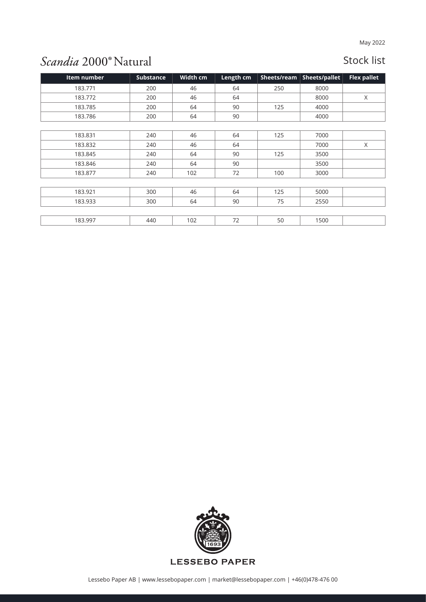## Scandia 2000<sup>®</sup>Natural

| Item number | <b>Substance</b> | Width cm | Length cm | Sheets/ream | Sheets/pallet | <b>Flex pallet</b> |
|-------------|------------------|----------|-----------|-------------|---------------|--------------------|
| 183.771     | 200              | 46       | 64        | 250         | 8000          |                    |
| 183.772     | 200              | 46       | 64        |             | 8000          | X                  |
| 183.785     | 200              | 64       | 90        | 125         | 4000          |                    |
| 183.786     | 200              | 64       | 90        |             | 4000          |                    |
|             |                  |          |           |             |               |                    |
| 183.831     | 240              | 46       | 64        | 125         | 7000          |                    |
| 183.832     | 240              | 46       | 64        |             | 7000          | X                  |
| 183.845     | 240              | 64       | 90        | 125         | 3500          |                    |
| 183.846     | 240              | 64       | 90        |             | 3500          |                    |
| 183.877     | 240              | 102      | 72        | 100         | 3000          |                    |
|             |                  |          |           |             |               |                    |
| 183.921     | 300              | 46       | 64        | 125         | 5000          |                    |
| 183.933     | 300              | 64       | 90        | 75          | 2550          |                    |
|             |                  |          |           |             |               |                    |
| 183.997     | 440              | 102      | 72        | 50          | 1500          |                    |